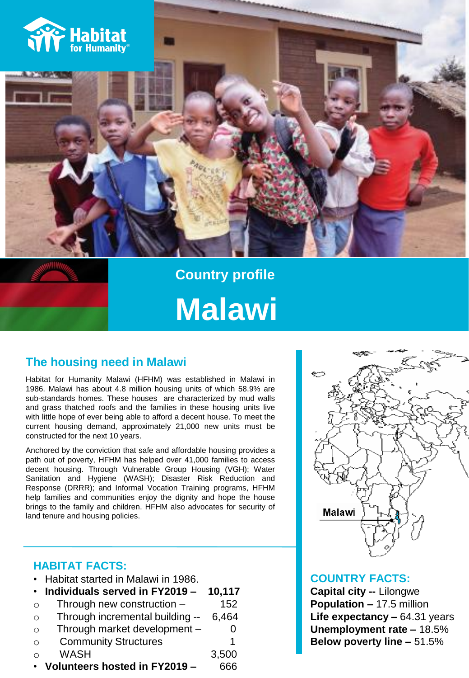



**Malawi Country profile**

## **The housing need in Malawi**

Habitat for Humanity Malawi (HFHM) was established in Malawi in 1986. Malawi has about 4.8 million housing units of which 58.9% are sub-standards homes. These houses are characterized by mud walls and grass thatched roofs and the families in these housing units live with little hope of ever being able to afford a decent house. To meet the current housing demand, approximately 21,000 new units must be constructed for the next 10 years.

Anchored by the conviction that safe and affordable housing provides a path out of poverty, HFHM has helped over 41,000 families to access decent housing. Through Vulnerable Group Housing (VGH); Water Sanitation and Hygiene (WASH); Disaster Risk Reduction and Response (DRRR); and Informal Vocation Training programs, HFHM help families and communities enjoy the dignity and hope the house brings to the family and children. HFHM also advocates for security of land tenure and housing policies.

### **HABITAT FACTS:**

• Habitat started in Malawi in 1986.

|            | Individuals served in FY2019 -  | 10,117 |
|------------|---------------------------------|--------|
| $\circ$    | Through new construction -      | 152    |
| $\bigcirc$ | Through incremental building -- | 6,464  |
| $\bigcirc$ | Through market development -    |        |
| ∩          | <b>Community Structures</b>     |        |
| ∩          | WASH                            | 3,500  |
|            | Volunteers hosted in FY2019 -   | 666    |



### **COUNTRY FACTS:**

**Capital city --** Lilongwe **Population –** 17.5 million **Life expectancy –** 64.31 years **Unemployment rate –** 18.5% **Below poverty line –** 51.5%